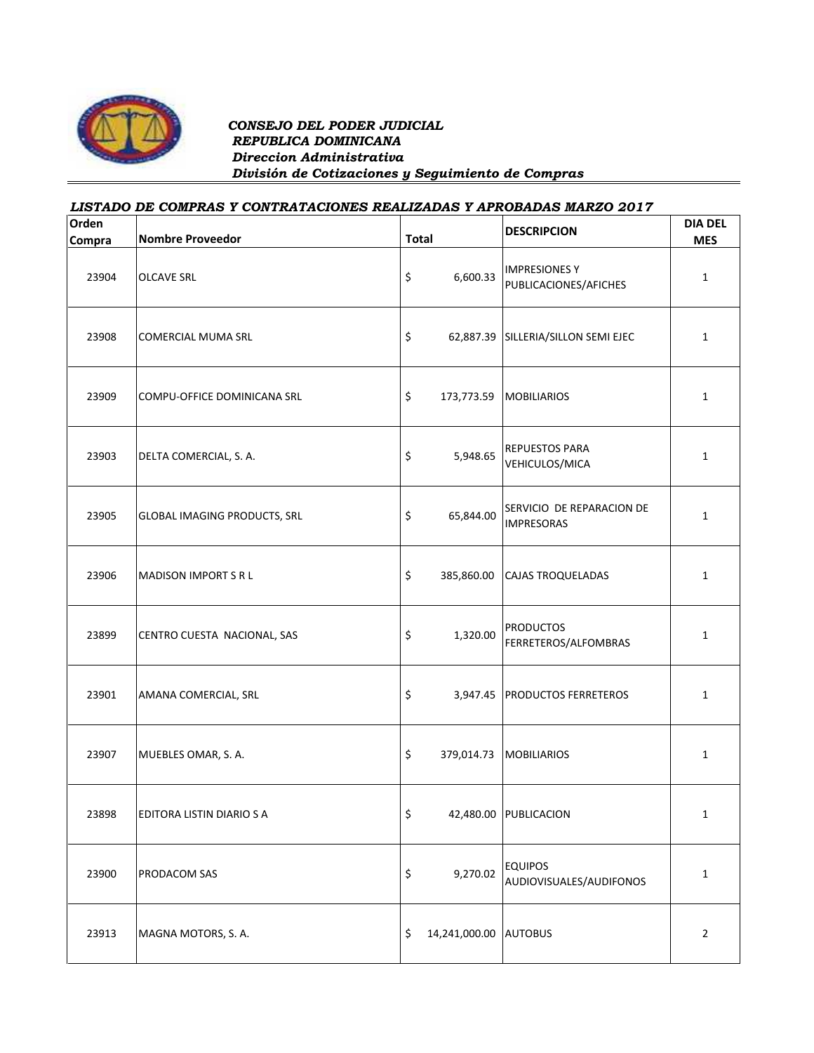

## *CONSEJO DEL PODER JUDICIAL REPUBLICA DOMINICANA Direccion Administrativa División de Cotizaciones y Seguimiento de Compras*

## *LISTADO DE COMPRAS Y CONTRATACIONES REALIZADAS Y APROBADAS MARZO 2017*

| Orden<br>Compra | <b>Nombre Proveedor</b>             | <b>Total</b> |                       | <b>DESCRIPCION</b>                             | <b>DIA DEL</b><br><b>MES</b> |
|-----------------|-------------------------------------|--------------|-----------------------|------------------------------------------------|------------------------------|
| 23904           | <b>OLCAVE SRL</b>                   | \$           | 6,600.33              | <b>IMPRESIONES Y</b><br>PUBLICACIONES/AFICHES  | $\mathbf{1}$                 |
| 23908           | <b>COMERCIAL MUMA SRL</b>           | \$           |                       | 62,887.39 SILLERIA/SILLON SEMI EJEC            | $\mathbf{1}$                 |
| 23909           | COMPU-OFFICE DOMINICANA SRL         | \$           | 173,773.59            | <b>MOBILIARIOS</b>                             | $\mathbf{1}$                 |
| 23903           | DELTA COMERCIAL, S. A.              | \$           | 5,948.65              | <b>REPUESTOS PARA</b><br>VEHICULOS/MICA        | $\mathbf{1}$                 |
| 23905           | <b>GLOBAL IMAGING PRODUCTS, SRL</b> | \$           | 65,844.00             | SERVICIO DE REPARACION DE<br><b>IMPRESORAS</b> | $\mathbf{1}$                 |
| 23906           | <b>MADISON IMPORT S R L</b>         | \$           | 385,860.00            | <b>CAJAS TROQUELADAS</b>                       | $\mathbf{1}$                 |
| 23899           | CENTRO CUESTA NACIONAL, SAS         | \$           | 1,320.00              | <b>PRODUCTOS</b><br>FERRETEROS/ALFOMBRAS       | $\mathbf{1}$                 |
| 23901           | AMANA COMERCIAL, SRL                | \$           |                       | 3,947.45 PRODUCTOS FERRETEROS                  | $\mathbf{1}$                 |
| 23907           | MUEBLES OMAR, S. A.                 | \$           | 379,014.73            | <b>MOBILIARIOS</b>                             | $\mathbf{1}$                 |
| 23898           | EDITORA LISTIN DIARIO S A           | Ş            |                       | 42,480.00 PUBLICACION                          | 1                            |
| 23900           | PRODACOM SAS                        | \$           | 9,270.02              | <b>EQUIPOS</b><br>AUDIOVISUALES/AUDIFONOS      | $\mathbf{1}$                 |
| 23913           | MAGNA MOTORS, S. A.                 | \$           | 14,241,000.00 AUTOBUS |                                                | $\overline{2}$               |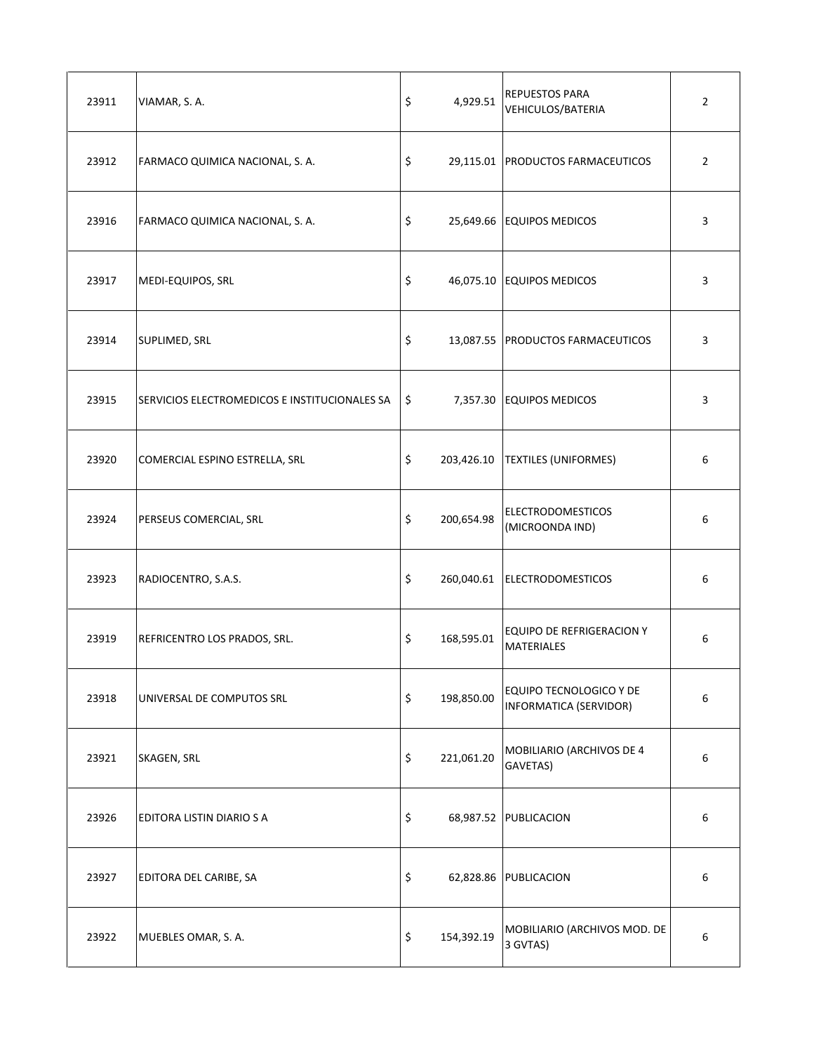| 23911 | VIAMAR, S. A.                                 | \$      | 4,929.51   | <b>REPUESTOS PARA</b><br><b>VEHICULOS/BATERIA</b> | $\overline{2}$ |
|-------|-----------------------------------------------|---------|------------|---------------------------------------------------|----------------|
| 23912 | FARMACO QUIMICA NACIONAL, S. A.               | \$      |            | 29,115.01 PRODUCTOS FARMACEUTICOS                 | $\overline{2}$ |
| 23916 | FARMACO QUIMICA NACIONAL, S. A.               | \$      |            | 25,649.66 EQUIPOS MEDICOS                         | 3              |
| 23917 | MEDI-EQUIPOS, SRL                             | \$      |            | 46,075.10 EQUIPOS MEDICOS                         | 3              |
| 23914 | SUPLIMED, SRL                                 | \$      |            | 13,087.55 PRODUCTOS FARMACEUTICOS                 | 3              |
| 23915 | SERVICIOS ELECTROMEDICOS E INSTITUCIONALES SA | $\zeta$ |            | 7,357.30 EQUIPOS MEDICOS                          | 3              |
| 23920 | COMERCIAL ESPINO ESTRELLA, SRL                | \$      |            | 203,426.10   TEXTILES (UNIFORMES)                 | 6              |
| 23924 | PERSEUS COMERCIAL, SRL                        | \$      | 200,654.98 | <b>ELECTRODOMESTICOS</b><br>(MICROONDA IND)       | 6              |
| 23923 | RADIOCENTRO, S.A.S.                           | \$      |            | 260,040.61 ELECTRODOMESTICOS                      | 6              |
| 23919 | REFRICENTRO LOS PRADOS, SRL.                  | \$      | 168,595.01 | EQUIPO DE REFRIGERACION Y<br><b>MATERIALES</b>    | 6              |
| 23918 | UNIVERSAL DE COMPUTOS SRL                     | \$      | 198,850.00 | EQUIPO TECNOLOGICO Y DE<br>INFORMATICA (SERVIDOR) | 6              |
| 23921 | SKAGEN, SRL                                   | \$      | 221,061.20 | MOBILIARIO (ARCHIVOS DE 4<br>GAVETAS)             | 6              |
| 23926 | EDITORA LISTIN DIARIO S A                     | \$      |            | 68,987.52 PUBLICACION                             | 6              |
| 23927 | EDITORA DEL CARIBE, SA                        | \$      |            | 62,828.86 PUBLICACION                             | 6              |
| 23922 | MUEBLES OMAR, S. A.                           | \$      | 154,392.19 | MOBILIARIO (ARCHIVOS MOD. DE<br>3 GVTAS)          | 6              |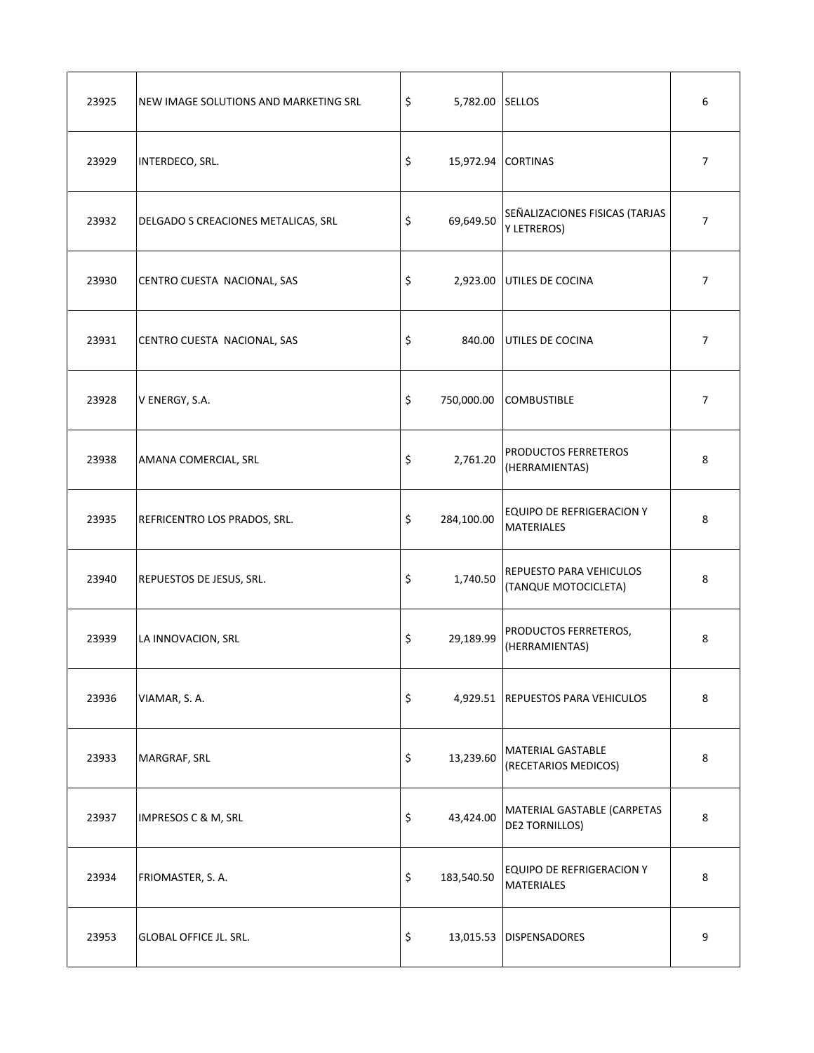| 23925 | NEW IMAGE SOLUTIONS AND MARKETING SRL | \$<br>5,782.00 SELLOS    |                                                      | 6              |
|-------|---------------------------------------|--------------------------|------------------------------------------------------|----------------|
| 23929 | INTERDECO, SRL.                       | \$<br>15,972.94 CORTINAS |                                                      | $\overline{7}$ |
| 23932 | DELGADO S CREACIONES METALICAS, SRL   | \$<br>69,649.50          | SEÑALIZACIONES FISICAS (TARJAS<br><b>Y LETREROS)</b> | $\overline{7}$ |
| 23930 | CENTRO CUESTA NACIONAL, SAS           | \$                       | 2,923.00 UTILES DE COCINA                            | $\overline{7}$ |
| 23931 | CENTRO CUESTA NACIONAL, SAS           | \$                       | 840.00 UTILES DE COCINA                              | $\overline{7}$ |
| 23928 | V ENERGY, S.A.                        | \$<br>750,000.00         | <b>COMBUSTIBLE</b>                                   | $\overline{7}$ |
| 23938 | AMANA COMERCIAL, SRL                  | \$<br>2,761.20           | PRODUCTOS FERRETEROS<br>(HERRAMIENTAS)               | 8              |
| 23935 | REFRICENTRO LOS PRADOS, SRL.          | \$<br>284,100.00         | EQUIPO DE REFRIGERACION Y<br><b>MATERIALES</b>       | 8              |
| 23940 | REPUESTOS DE JESUS, SRL.              | \$<br>1,740.50           | REPUESTO PARA VEHICULOS<br>(TANQUE MOTOCICLETA)      | 8              |
| 23939 | LA INNOVACION, SRL                    | \$<br>29,189.99          | PRODUCTOS FERRETEROS,<br>(HERRAMIENTAS)              | 8              |
| 23936 | VIAMAR, S. A.                         | \$                       | 4,929.51 REPUESTOS PARA VEHICULOS                    | 8              |
| 23933 | MARGRAF, SRL                          | \$<br>13,239.60          | <b>MATERIAL GASTABLE</b><br>(RECETARIOS MEDICOS)     | 8              |
| 23937 | IMPRESOS C & M, SRL                   | \$<br>43,424.00          | MATERIAL GASTABLE (CARPETAS<br><b>DE2 TORNILLOS)</b> | 8              |
| 23934 | FRIOMASTER, S. A.                     | \$<br>183,540.50         | EQUIPO DE REFRIGERACION Y<br><b>MATERIALES</b>       | 8              |
| 23953 | <b>GLOBAL OFFICE JL. SRL.</b>         | \$                       | 13,015.53 DISPENSADORES                              | 9              |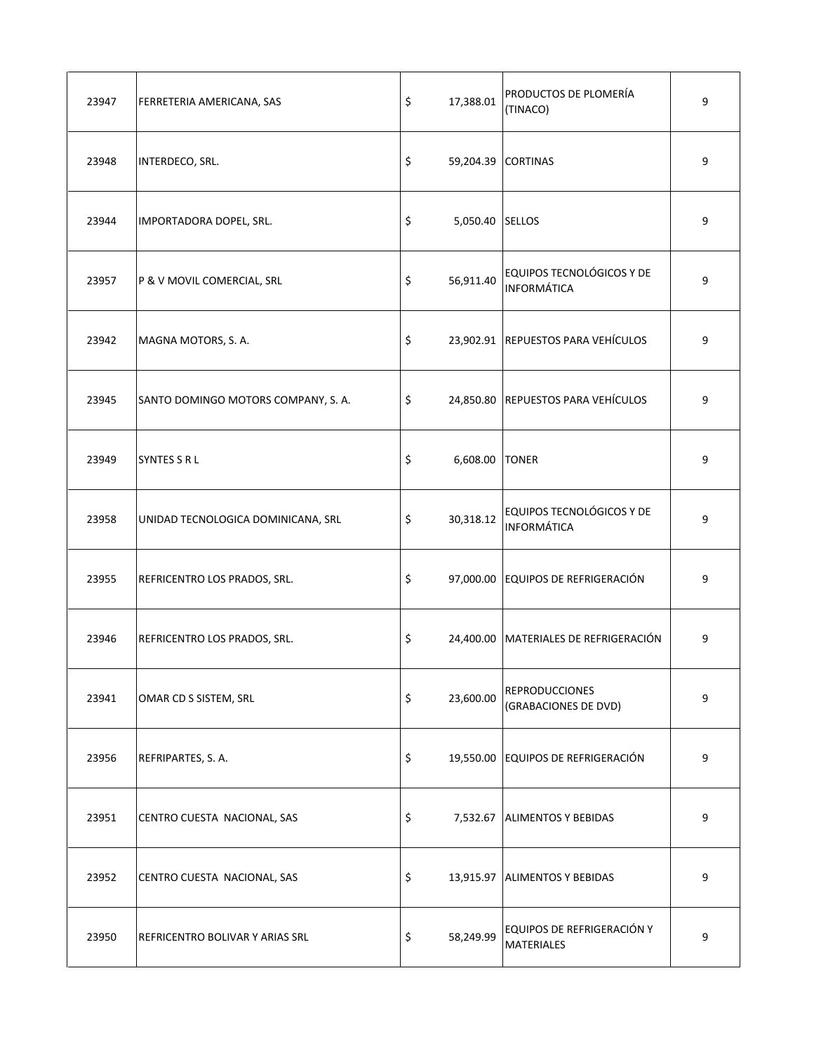| 23947 | FERRETERIA AMERICANA, SAS           | \$      | 17,388.01          | PRODUCTOS DE PLOMERÍA<br>(TINACO)               | 9 |
|-------|-------------------------------------|---------|--------------------|-------------------------------------------------|---|
| 23948 | INTERDECO, SRL.                     | \$      | 59,204.39 CORTINAS |                                                 | 9 |
| 23944 | IMPORTADORA DOPEL, SRL.             | \$      | 5,050.40 SELLOS    |                                                 | 9 |
| 23957 | P & V MOVIL COMERCIAL, SRL          | \$      | 56,911.40          | EQUIPOS TECNOLÓGICOS Y DE<br><b>INFORMÁTICA</b> | 9 |
| 23942 | MAGNA MOTORS, S. A.                 | \$      |                    | 23,902.91 REPUESTOS PARA VEHÍCULOS              | 9 |
| 23945 | SANTO DOMINGO MOTORS COMPANY, S. A. | $\zeta$ |                    | 24,850.80 REPUESTOS PARA VEHÍCULOS              | 9 |
| 23949 | <b>SYNTES S R L</b>                 | \$      | 6,608.00 TONER     |                                                 | 9 |
| 23958 | UNIDAD TECNOLOGICA DOMINICANA, SRL  | \$      | 30,318.12          | EQUIPOS TECNOLÓGICOS Y DE<br><b>INFORMÁTICA</b> | 9 |
| 23955 | REFRICENTRO LOS PRADOS, SRL.        | \$      |                    | 97,000.00 EQUIPOS DE REFRIGERACIÓN              | 9 |
| 23946 | REFRICENTRO LOS PRADOS, SRL.        | \$      |                    | 24,400.00 MATERIALES DE REFRIGERACIÓN           | 9 |
| 23941 | OMAR CD S SISTEM, SRL               | \$      | 23,600.00          | <b>REPRODUCCIONES</b><br>(GRABACIONES DE DVD)   | 9 |
| 23956 | REFRIPARTES, S. A.                  | \$      |                    | 19,550.00 EQUIPOS DE REFRIGERACIÓN              | 9 |
| 23951 | CENTRO CUESTA NACIONAL, SAS         | \$      |                    | 7,532.67 ALIMENTOS Y BEBIDAS                    | 9 |
| 23952 | CENTRO CUESTA NACIONAL, SAS         | \$      |                    | 13,915.97 ALIMENTOS Y BEBIDAS                   | 9 |
| 23950 | REFRICENTRO BOLIVAR Y ARIAS SRL     | \$      | 58,249.99          | EQUIPOS DE REFRIGERACIÓN Y<br><b>MATERIALES</b> | 9 |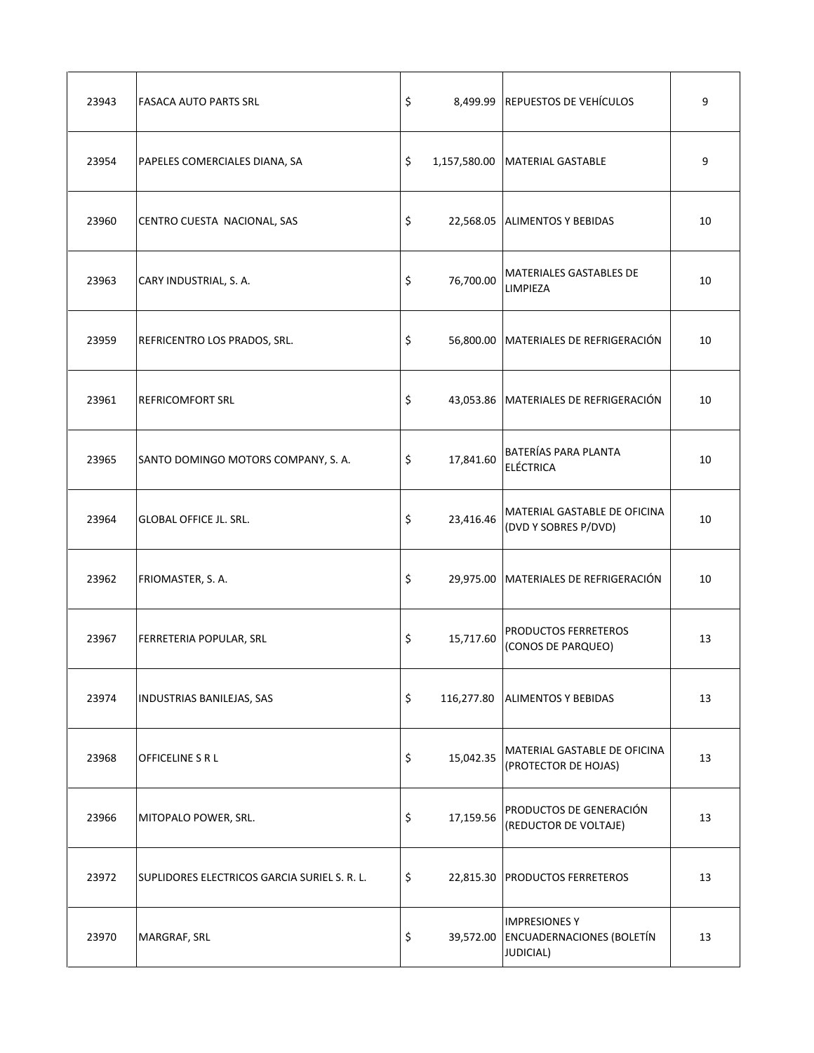| 23943 | <b>FASACA AUTO PARTS SRL</b>                 | \$              | 8,499.99 REPUESTOS DE VEHÍCULOS                                              | 9  |
|-------|----------------------------------------------|-----------------|------------------------------------------------------------------------------|----|
| 23954 | PAPELES COMERCIALES DIANA, SA                | \$              | 1,157,580.00   MATERIAL GASTABLE                                             | 9  |
| 23960 | CENTRO CUESTA NACIONAL, SAS                  | \$              | 22,568.05 ALIMENTOS Y BEBIDAS                                                | 10 |
| 23963 | CARY INDUSTRIAL, S. A.                       | \$<br>76,700.00 | MATERIALES GASTABLES DE<br>LIMPIEZA                                          | 10 |
| 23959 | REFRICENTRO LOS PRADOS, SRL.                 | \$              | 56,800.00 MATERIALES DE REFRIGERACIÓN                                        | 10 |
| 23961 | <b>REFRICOMFORT SRL</b>                      | \$              | 43,053.86 MATERIALES DE REFRIGERACIÓN                                        | 10 |
| 23965 | SANTO DOMINGO MOTORS COMPANY, S.A.           | \$<br>17,841.60 | BATERÍAS PARA PLANTA<br><b>ELÉCTRICA</b>                                     | 10 |
| 23964 | <b>GLOBAL OFFICE JL. SRL.</b>                | \$<br>23,416.46 | MATERIAL GASTABLE DE OFICINA<br>(DVD Y SOBRES P/DVD)                         | 10 |
| 23962 | FRIOMASTER, S. A.                            | \$              | 29,975.00 MATERIALES DE REFRIGERACIÓN                                        | 10 |
| 23967 | FERRETERIA POPULAR, SRL                      | \$<br>15,717.60 | PRODUCTOS FERRETEROS<br>(CONOS DE PARQUEO)                                   | 13 |
| 23974 | INDUSTRIAS BANILEJAS, SAS                    | \$              | 116,277.80 ALIMENTOS Y BEBIDAS                                               | 13 |
| 23968 | OFFICELINE S R L                             | \$<br>15,042.35 | MATERIAL GASTABLE DE OFICINA<br>(PROTECTOR DE HOJAS)                         | 13 |
| 23966 | MITOPALO POWER, SRL.                         | \$<br>17,159.56 | PRODUCTOS DE GENERACIÓN<br>(REDUCTOR DE VOLTAJE)                             | 13 |
| 23972 | SUPLIDORES ELECTRICOS GARCIA SURIEL S. R. L. | \$              | 22,815.30 PRODUCTOS FERRETEROS                                               | 13 |
| 23970 | MARGRAF, SRL                                 | \$<br>39,572.00 | <b>IMPRESIONES Y</b><br><b>ENCUADERNACIONES (BOLETÍN</b><br><b>JUDICIAL)</b> | 13 |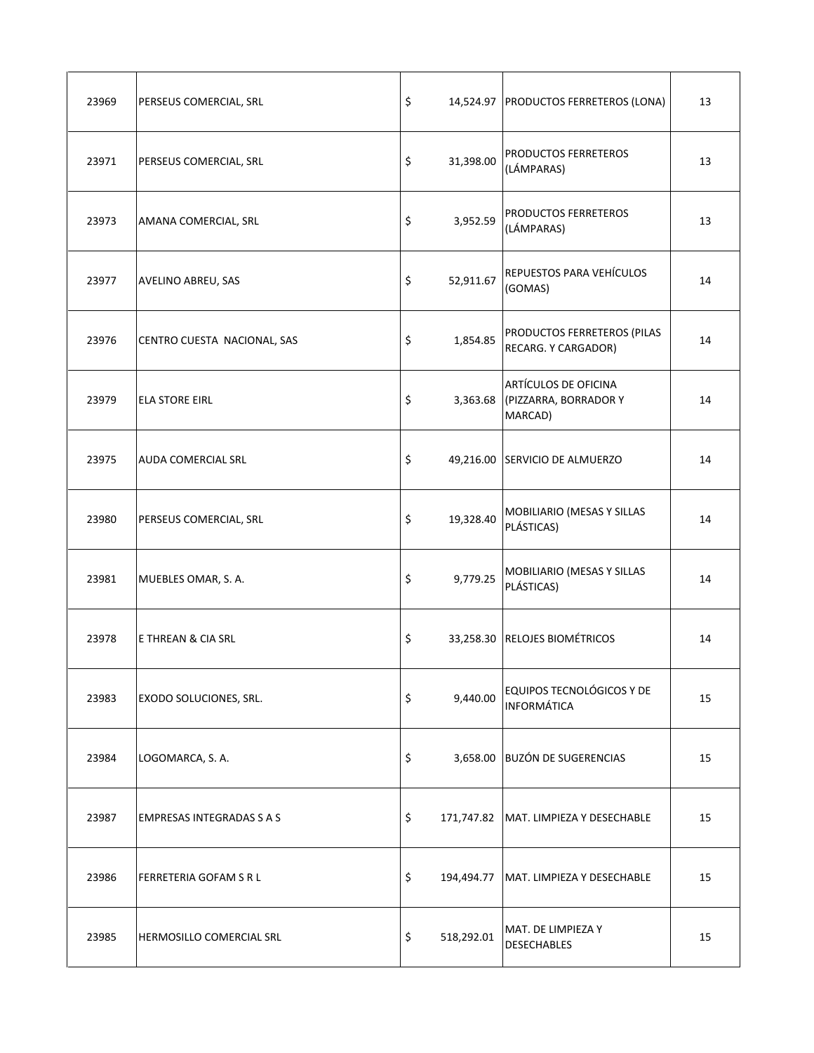| 23969 | PERSEUS COMERCIAL, SRL           | \$               | 14,524.97 PRODUCTOS FERRETEROS (LONA)                             | 13 |
|-------|----------------------------------|------------------|-------------------------------------------------------------------|----|
| 23971 | PERSEUS COMERCIAL, SRL           | \$<br>31,398.00  | PRODUCTOS FERRETEROS<br>(LÁMPARAS)                                | 13 |
| 23973 | AMANA COMERCIAL, SRL             | \$<br>3,952.59   | PRODUCTOS FERRETEROS<br>(LÁMPARAS)                                | 13 |
| 23977 | AVELINO ABREU, SAS               | \$<br>52,911.67  | REPUESTOS PARA VEHÍCULOS<br>(GOMAS)                               | 14 |
| 23976 | CENTRO CUESTA NACIONAL, SAS      | \$<br>1,854.85   | PRODUCTOS FERRETEROS (PILAS<br>RECARG. Y CARGADOR)                | 14 |
| 23979 | <b>ELA STORE EIRL</b>            | \$               | ARTÍCULOS DE OFICINA<br>3,363.68 (PIZZARRA, BORRADOR Y<br>MARCAD) | 14 |
| 23975 | <b>AUDA COMERCIAL SRL</b>        | \$               | 49,216.00 SERVICIO DE ALMUERZO                                    | 14 |
| 23980 | PERSEUS COMERCIAL, SRL           | \$<br>19,328.40  | MOBILIARIO (MESAS Y SILLAS<br>PLÁSTICAS)                          | 14 |
| 23981 | MUEBLES OMAR, S. A.              | \$<br>9,779.25   | MOBILIARIO (MESAS Y SILLAS<br>PLÁSTICAS)                          | 14 |
| 23978 | E THREAN & CIA SRL               | \$               | 33,258.30 RELOJES BIOMÉTRICOS                                     | 14 |
| 23983 | EXODO SOLUCIONES, SRL.           | \$<br>9,440.00   | EQUIPOS TECNOLÓGICOS Y DE<br><b>INFORMÁTICA</b>                   | 15 |
| 23984 | LOGOMARCA, S. A.                 | \$               | 3,658.00 BUZÓN DE SUGERENCIAS                                     | 15 |
| 23987 | <b>EMPRESAS INTEGRADAS S A S</b> | \$               | 171,747.82   MAT. LIMPIEZA Y DESECHABLE                           | 15 |
| 23986 | FERRETERIA GOFAM S R L           | \$               | 194,494.77 MAT. LIMPIEZA Y DESECHABLE                             | 15 |
| 23985 | HERMOSILLO COMERCIAL SRL         | \$<br>518,292.01 | MAT. DE LIMPIEZA Y<br><b>DESECHABLES</b>                          | 15 |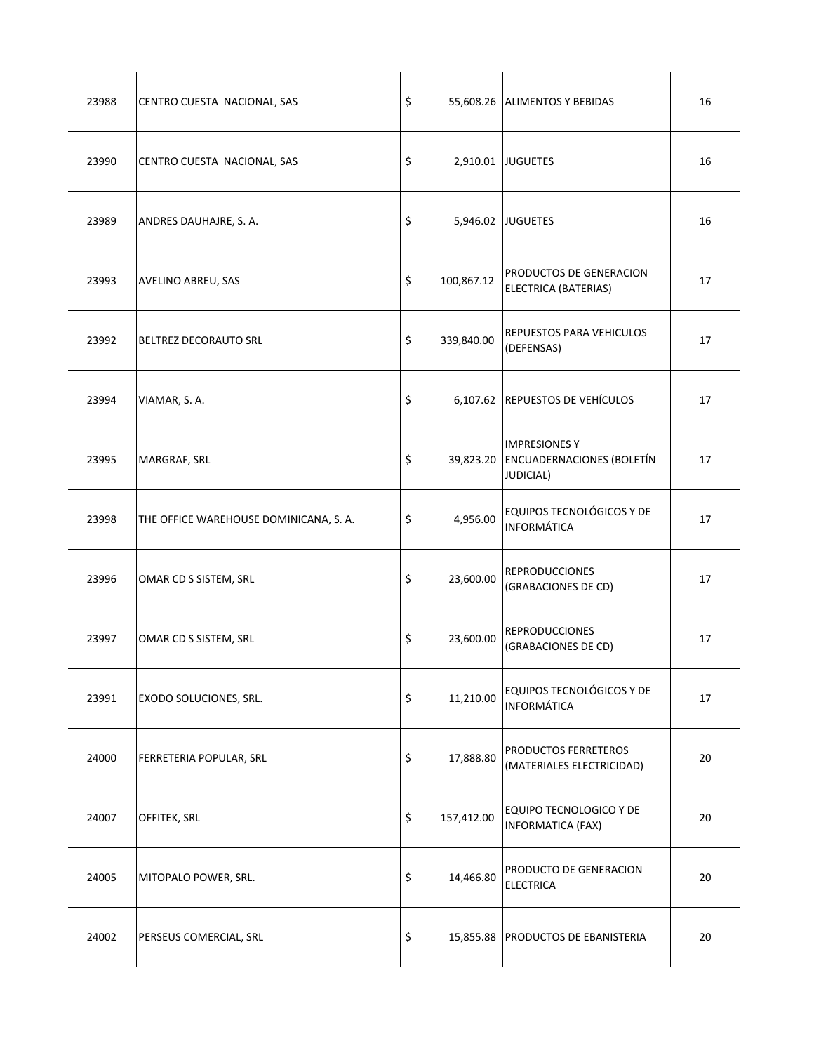| 23988 | CENTRO CUESTA NACIONAL, SAS            | \$               | 55,608.26 ALIMENTOS Y BEBIDAS                                                   | 16 |
|-------|----------------------------------------|------------------|---------------------------------------------------------------------------------|----|
| 23990 | CENTRO CUESTA NACIONAL, SAS            | \$               | 2,910.01 JUGUETES                                                               | 16 |
| 23989 | ANDRES DAUHAJRE, S. A.                 | \$               | 5,946.02 JUGUETES                                                               | 16 |
| 23993 | AVELINO ABREU, SAS                     | \$<br>100,867.12 | PRODUCTOS DE GENERACION<br><b>ELECTRICA (BATERIAS)</b>                          | 17 |
| 23992 | <b>BELTREZ DECORAUTO SRL</b>           | \$<br>339,840.00 | <b>REPUESTOS PARA VEHICULOS</b><br>(DEFENSAS)                                   | 17 |
| 23994 | VIAMAR, S.A.                           | \$               | 6,107.62 REPUESTOS DE VEHÍCULOS                                                 | 17 |
| 23995 | MARGRAF, SRL                           | \$               | <b>IMPRESIONES Y</b><br>39,823.20 ENCUADERNACIONES (BOLETÍN<br><b>JUDICIAL)</b> | 17 |
| 23998 | THE OFFICE WAREHOUSE DOMINICANA, S. A. | \$<br>4,956.00   | EQUIPOS TECNOLÓGICOS Y DE<br><b>INFORMÁTICA</b>                                 | 17 |
| 23996 | OMAR CD S SISTEM, SRL                  | \$<br>23,600.00  | <b>REPRODUCCIONES</b><br>(GRABACIONES DE CD)                                    | 17 |
| 23997 | OMAR CD S SISTEM, SRL                  | \$<br>23,600.00  | <b>REPRODUCCIONES</b><br>(GRABACIONES DE CD)                                    | 17 |
| 23991 | EXODO SOLUCIONES, SRL.                 | \$<br>11,210.00  | EQUIPOS TECNOLÓGICOS Y DE<br><b>INFORMÁTICA</b>                                 | 17 |
| 24000 | FERRETERIA POPULAR, SRL                | \$<br>17,888.80  | PRODUCTOS FERRETEROS<br>(MATERIALES ELECTRICIDAD)                               | 20 |
| 24007 | OFFITEK, SRL                           | \$<br>157,412.00 | EQUIPO TECNOLOGICO Y DE<br><b>INFORMATICA (FAX)</b>                             | 20 |
| 24005 | MITOPALO POWER, SRL.                   | \$<br>14,466.80  | PRODUCTO DE GENERACION<br><b>ELECTRICA</b>                                      | 20 |
| 24002 | PERSEUS COMERCIAL, SRL                 | \$               | 15,855.88 PRODUCTOS DE EBANISTERIA                                              | 20 |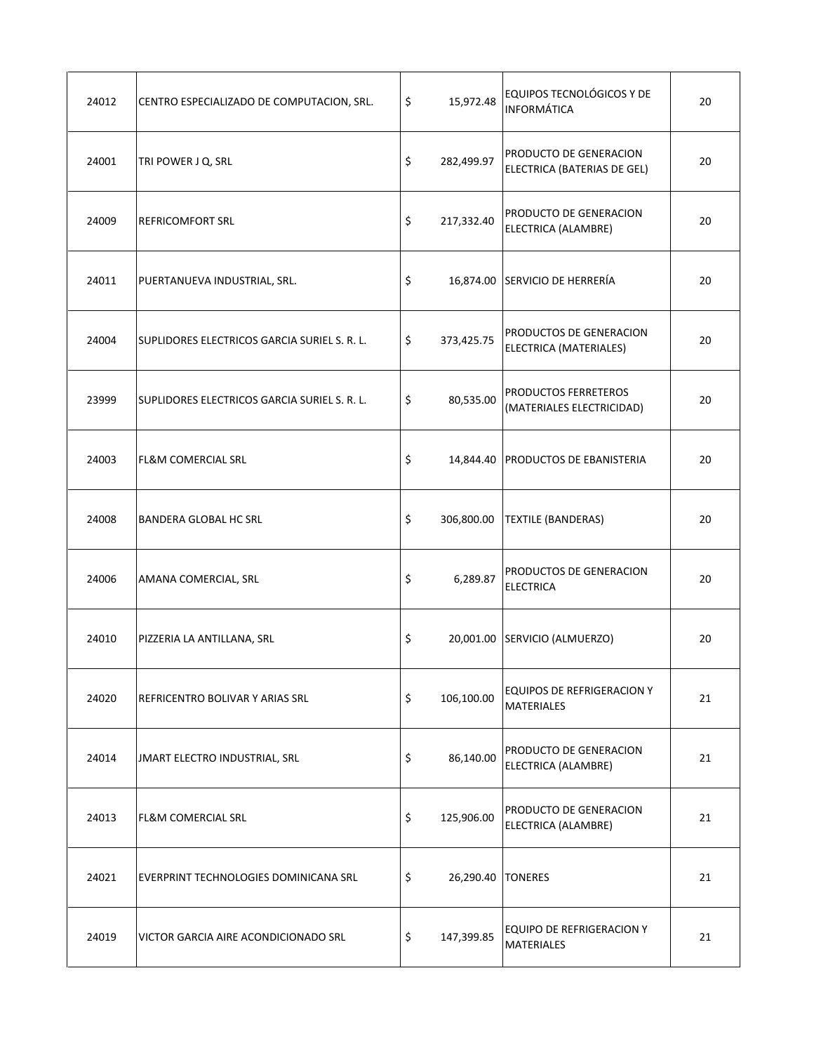| 24012 | CENTRO ESPECIALIZADO DE COMPUTACION, SRL.    | \$<br>15,972.48           | EQUIPOS TECNOLÓGICOS Y DE<br><b>INFORMÁTICA</b>        | 20 |
|-------|----------------------------------------------|---------------------------|--------------------------------------------------------|----|
| 24001 | TRI POWER J Q, SRL                           | \$<br>282,499.97          | PRODUCTO DE GENERACION<br>ELECTRICA (BATERIAS DE GEL)  | 20 |
| 24009 | <b>REFRICOMFORT SRL</b>                      | \$<br>217,332.40          | PRODUCTO DE GENERACION<br>ELECTRICA (ALAMBRE)          | 20 |
| 24011 | PUERTANUEVA INDUSTRIAL, SRL.                 | \$                        | 16,874.00 SERVICIO DE HERRERÍA                         | 20 |
| 24004 | SUPLIDORES ELECTRICOS GARCIA SURIEL S. R. L. | \$<br>373,425.75          | PRODUCTOS DE GENERACION<br>ELECTRICA (MATERIALES)      | 20 |
| 23999 | SUPLIDORES ELECTRICOS GARCIA SURIEL S. R. L. | \$<br>80,535.00           | PRODUCTOS FERRETEROS<br>(MATERIALES ELECTRICIDAD)      | 20 |
| 24003 | <b>FL&amp;M COMERCIAL SRL</b>                | \$                        | 14,844.40 PRODUCTOS DE EBANISTERIA                     | 20 |
| 24008 | BANDERA GLOBAL HC SRL                        | \$<br>306,800.00          | <b>TEXTILE (BANDERAS)</b>                              | 20 |
| 24006 | AMANA COMERCIAL, SRL                         | \$<br>6,289.87            | PRODUCTOS DE GENERACION<br><b>ELECTRICA</b>            | 20 |
| 24010 | PIZZERIA LA ANTILLANA, SRL                   | \$                        | 20,001.00 SERVICIO (ALMUERZO)                          | 20 |
| 24020 | REFRICENTRO BOLIVAR Y ARIAS SRL              | \$<br>106,100.00          | <b>EQUIPOS DE REFRIGERACION Y</b><br><b>MATERIALES</b> | 21 |
| 24014 | JMART ELECTRO INDUSTRIAL, SRL                | \$<br>86,140.00           | PRODUCTO DE GENERACION<br>ELECTRICA (ALAMBRE)          | 21 |
| 24013 | <b>FL&amp;M COMERCIAL SRL</b>                | \$<br>125,906.00          | PRODUCTO DE GENERACION<br>ELECTRICA (ALAMBRE)          | 21 |
| 24021 | EVERPRINT TECHNOLOGIES DOMINICANA SRL        | \$<br>26,290.40   TONERES |                                                        | 21 |
| 24019 | VICTOR GARCIA AIRE ACONDICIONADO SRL         | \$<br>147,399.85          | EQUIPO DE REFRIGERACION Y<br><b>MATERIALES</b>         | 21 |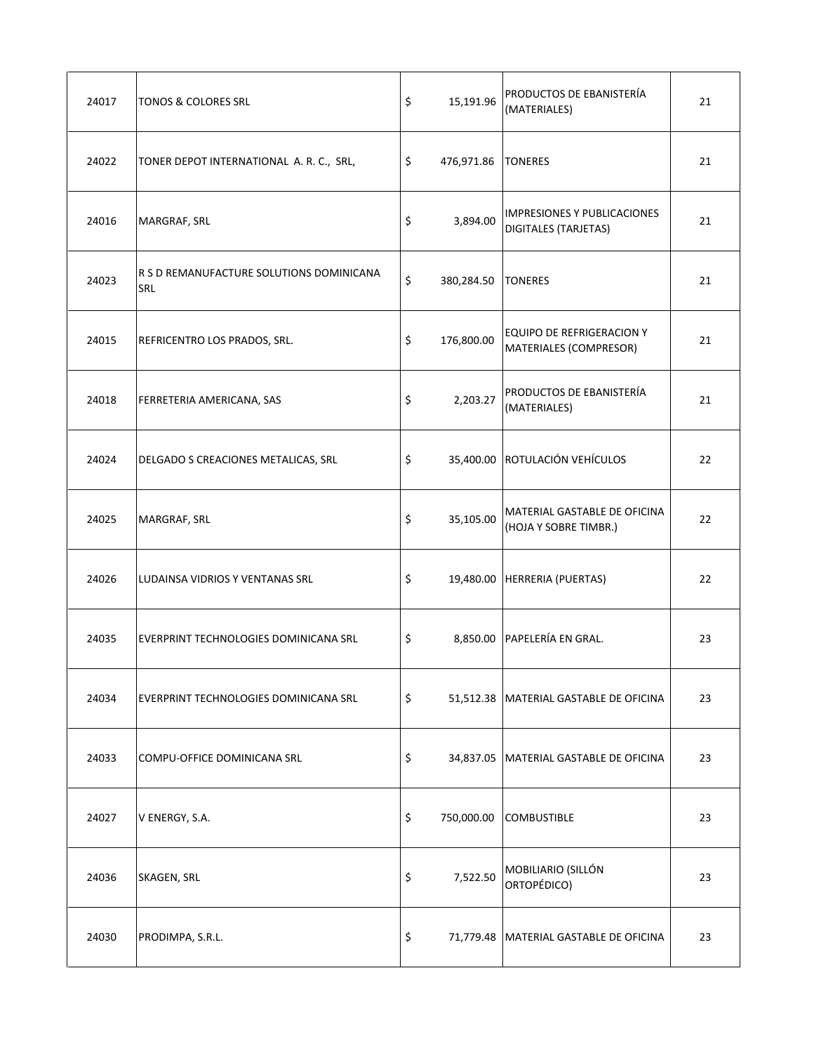| 24017 | <b>TONOS &amp; COLORES SRL</b>                         | \$<br>15,191.96          | PRODUCTOS DE EBANISTERÍA<br>(MATERIALES)                          | 21 |
|-------|--------------------------------------------------------|--------------------------|-------------------------------------------------------------------|----|
| 24022 | TONER DEPOT INTERNATIONAL A. R. C., SRL,               | \$<br>476,971.86 TONERES |                                                                   | 21 |
| 24016 | MARGRAF, SRL                                           | \$<br>3,894.00           | <b>IMPRESIONES Y PUBLICACIONES</b><br><b>DIGITALES (TARJETAS)</b> | 21 |
| 24023 | R S D REMANUFACTURE SOLUTIONS DOMINICANA<br><b>SRL</b> | \$<br>380,284.50         | <b>TONERES</b>                                                    | 21 |
| 24015 | REFRICENTRO LOS PRADOS, SRL.                           | \$<br>176,800.00         | EQUIPO DE REFRIGERACION Y<br>MATERIALES (COMPRESOR)               | 21 |
| 24018 | FERRETERIA AMERICANA, SAS                              | \$<br>2,203.27           | PRODUCTOS DE EBANISTERÍA<br>(MATERIALES)                          | 21 |
| 24024 | DELGADO S CREACIONES METALICAS, SRL                    | \$                       | 35,400.00 ROTULACIÓN VEHÍCULOS                                    | 22 |
| 24025 | MARGRAF, SRL                                           | \$<br>35,105.00          | MATERIAL GASTABLE DE OFICINA<br>(HOJA Y SOBRE TIMBR.)             | 22 |
| 24026 | LUDAINSA VIDRIOS Y VENTANAS SRL                        | \$                       | 19,480.00 HERRERIA (PUERTAS)                                      | 22 |
| 24035 | EVERPRINT TECHNOLOGIES DOMINICANA SRL                  | \$                       | 8,850.00 PAPELERÍA EN GRAL.                                       | 23 |
| 24034 | EVERPRINT TECHNOLOGIES DOMINICANA SRL                  | \$                       | 51,512.38   MATERIAL GASTABLE DE OFICINA                          | 23 |
| 24033 | COMPU-OFFICE DOMINICANA SRL                            | \$                       | 34,837.05   MATERIAL GASTABLE DE OFICINA                          | 23 |
| 24027 | V ENERGY, S.A.                                         | \$<br>750,000.00         | <b>COMBUSTIBLE</b>                                                | 23 |
| 24036 | SKAGEN, SRL                                            | \$<br>7,522.50           | MOBILIARIO (SILLÓN<br>ORTOPÉDICO)                                 | 23 |
| 24030 | PRODIMPA, S.R.L.                                       | \$                       | 71,779.48   MATERIAL GASTABLE DE OFICINA                          | 23 |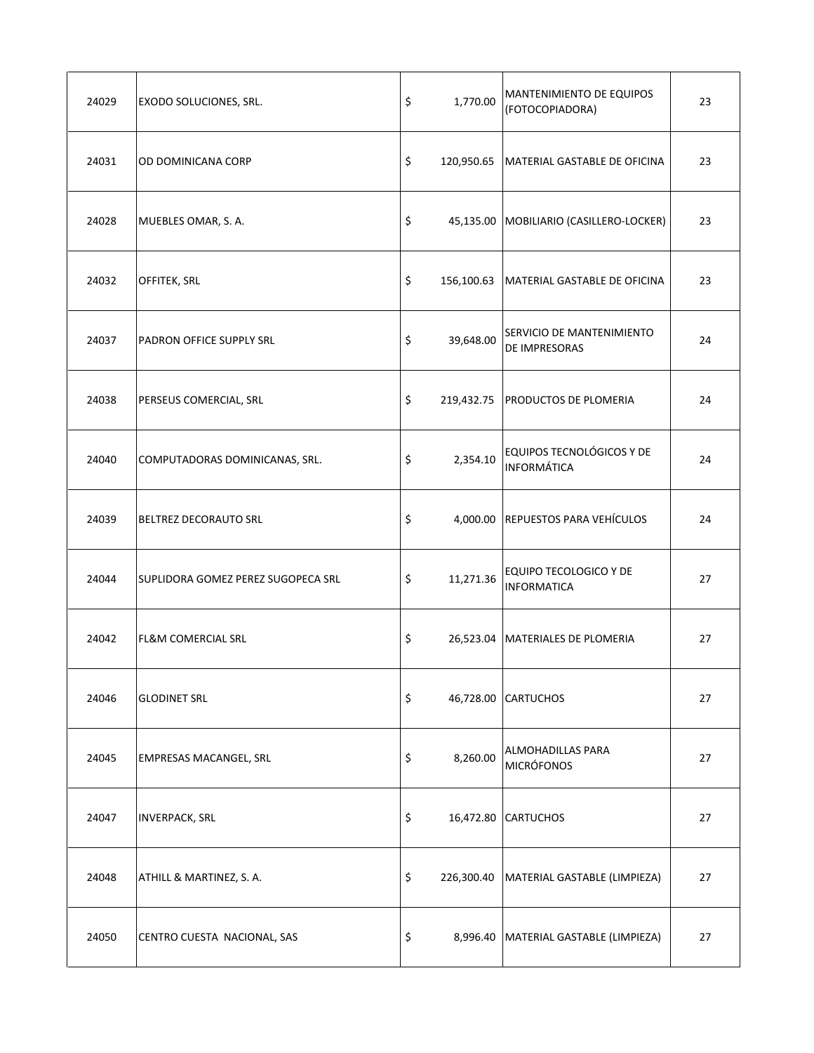| 24029 | EXODO SOLUCIONES, SRL.             | \$<br>1,770.00  | MANTENIMIENTO DE EQUIPOS<br>(FOTOCOPIADORA)            | 23 |
|-------|------------------------------------|-----------------|--------------------------------------------------------|----|
| 24031 | OD DOMINICANA CORP                 | \$              | 120,950.65   MATERIAL GASTABLE DE OFICINA              | 23 |
| 24028 | MUEBLES OMAR, S. A.                | \$              | 45,135.00 MOBILIARIO (CASILLERO-LOCKER)                | 23 |
| 24032 | OFFITEK, SRL                       | \$              | 156,100.63 MATERIAL GASTABLE DE OFICINA                | 23 |
| 24037 | PADRON OFFICE SUPPLY SRL           | \$<br>39,648.00 | SERVICIO DE MANTENIMIENTO<br><b>DE IMPRESORAS</b>      | 24 |
| 24038 | PERSEUS COMERCIAL, SRL             | \$              | 219,432.75   PRODUCTOS DE PLOMERIA                     | 24 |
| 24040 | COMPUTADORAS DOMINICANAS, SRL.     | \$<br>2,354.10  | EQUIPOS TECNOLÓGICOS Y DE<br><b>INFORMÁTICA</b>        | 24 |
| 24039 | BELTREZ DECORAUTO SRL              | \$              | 4,000.00 REPUESTOS PARA VEHÍCULOS                      | 24 |
| 24044 | SUPLIDORA GOMEZ PEREZ SUGOPECA SRL | \$              | 11,271.36 EQUIPO TECOLOGICO Y DE<br><b>INFORMATICA</b> | 27 |
| 24042 | <b>FL&amp;M COMERCIAL SRL</b>      | \$              | 26,523.04 MATERIALES DE PLOMERIA                       | 27 |
| 24046 | <b>GLODINET SRL</b>                | \$              | 46,728.00 CARTUCHOS                                    | 27 |
| 24045 | EMPRESAS MACANGEL, SRL             | \$<br>8,260.00  | ALMOHADILLAS PARA<br><b>MICRÓFONOS</b>                 | 27 |
| 24047 | <b>INVERPACK, SRL</b>              | \$              | 16,472.80 CARTUCHOS                                    | 27 |
| 24048 | ATHILL & MARTINEZ, S. A.           | \$              | 226,300.40   MATERIAL GASTABLE (LIMPIEZA)              | 27 |
| 24050 | CENTRO CUESTA NACIONAL, SAS        | \$              | 8,996.40   MATERIAL GASTABLE (LIMPIEZA)                | 27 |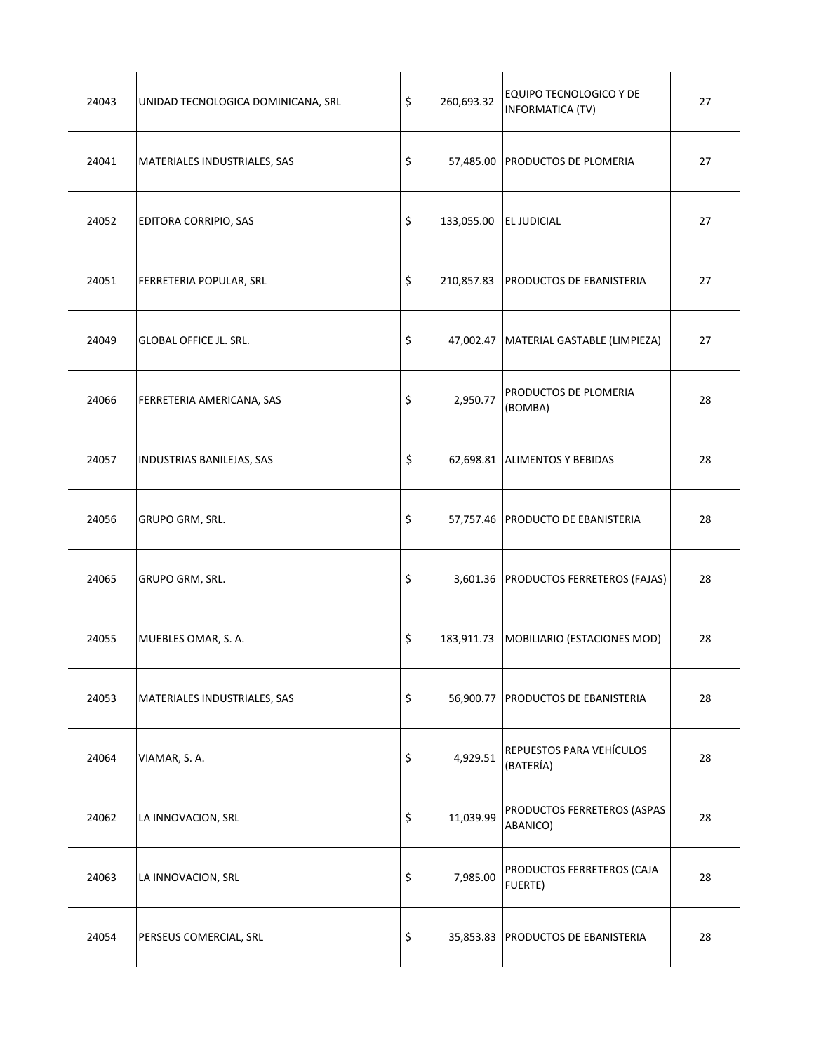| 24043 | UNIDAD TECNOLOGICA DOMINICANA, SRL | \$<br>260,693.32             | <b>EQUIPO TECNOLOGICO Y DE</b><br><b>INFORMATICA (TV)</b> | 27 |
|-------|------------------------------------|------------------------------|-----------------------------------------------------------|----|
| 24041 | MATERIALES INDUSTRIALES, SAS       | \$                           | 57,485.00 PRODUCTOS DE PLOMERIA                           | 27 |
| 24052 | EDITORA CORRIPIO, SAS              | \$<br>133,055.00 EL JUDICIAL |                                                           | 27 |
| 24051 | FERRETERIA POPULAR, SRL            | \$                           | 210,857.83   PRODUCTOS DE EBANISTERIA                     | 27 |
| 24049 | <b>GLOBAL OFFICE JL. SRL.</b>      | \$                           | 47,002.47   MATERIAL GASTABLE (LIMPIEZA)                  | 27 |
| 24066 | FERRETERIA AMERICANA, SAS          | \$<br>2,950.77               | PRODUCTOS DE PLOMERIA<br>(BOMBA)                          | 28 |
| 24057 | INDUSTRIAS BANILEJAS, SAS          | \$                           | 62,698.81 ALIMENTOS Y BEBIDAS                             | 28 |
| 24056 | GRUPO GRM, SRL.                    | \$                           | 57,757.46 PRODUCTO DE EBANISTERIA                         | 28 |
| 24065 | GRUPO GRM, SRL.                    | \$                           | 3,601.36 PRODUCTOS FERRETEROS (FAJAS)                     | 28 |
| 24055 | MUEBLES OMAR, S. A.                | \$                           | 183,911.73 MOBILIARIO (ESTACIONES MOD)                    | 28 |
| 24053 | MATERIALES INDUSTRIALES, SAS       | \$                           | 56,900.77 PRODUCTOS DE EBANISTERIA                        | 28 |
| 24064 | VIAMAR, S. A.                      | \$<br>4,929.51               | REPUESTOS PARA VEHÍCULOS<br>(BATERÍA)                     | 28 |
| 24062 | LA INNOVACION, SRL                 | \$<br>11,039.99              | PRODUCTOS FERRETEROS (ASPAS<br>ABANICO)                   | 28 |
| 24063 | LA INNOVACION, SRL                 | \$<br>7,985.00               | PRODUCTOS FERRETEROS (CAJA<br>FUERTE)                     | 28 |
| 24054 | PERSEUS COMERCIAL, SRL             | \$                           | 35,853.83 PRODUCTOS DE EBANISTERIA                        | 28 |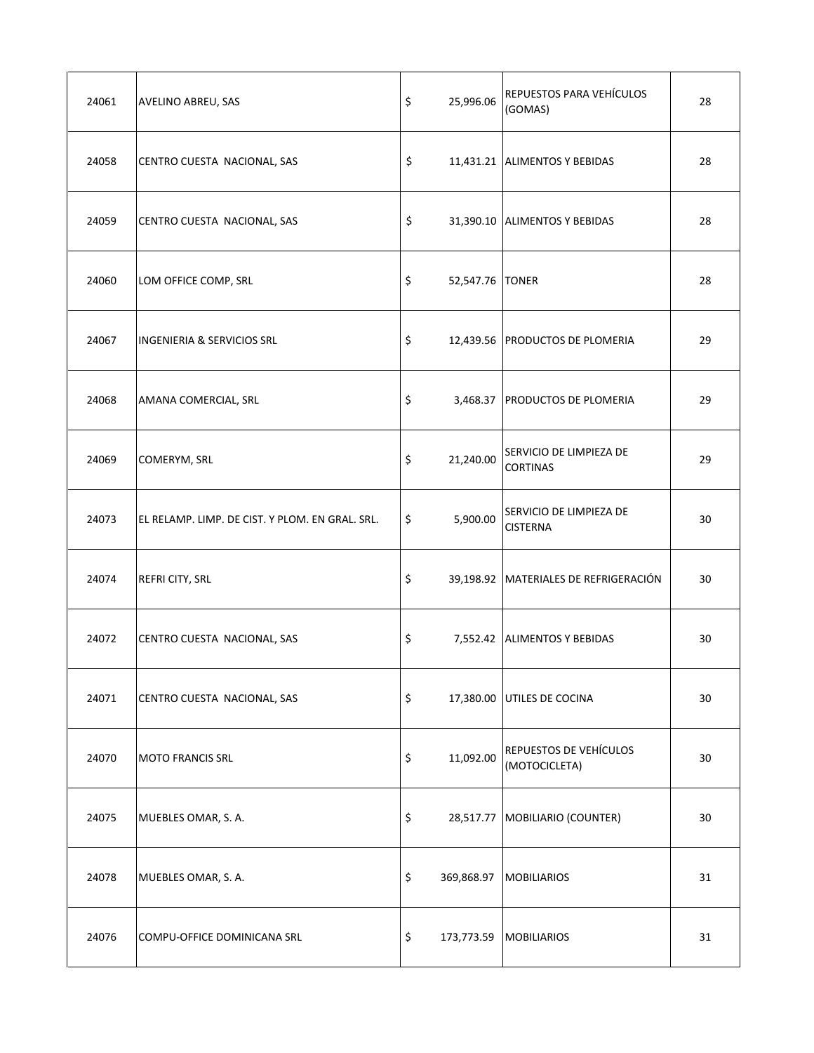| 24061 | AVELINO ABREU, SAS                              | \$<br>25,996.06       | REPUESTOS PARA VEHÍCULOS<br>(GOMAS)        | 28 |
|-------|-------------------------------------------------|-----------------------|--------------------------------------------|----|
| 24058 | CENTRO CUESTA NACIONAL, SAS                     | \$                    | 11,431.21 ALIMENTOS Y BEBIDAS              | 28 |
| 24059 | CENTRO CUESTA NACIONAL, SAS                     | \$                    | 31,390.10 ALIMENTOS Y BEBIDAS              | 28 |
| 24060 | LOM OFFICE COMP, SRL                            | \$<br>52,547.76 TONER |                                            | 28 |
| 24067 | <b>INGENIERIA &amp; SERVICIOS SRL</b>           | \$                    | 12,439.56 PRODUCTOS DE PLOMERIA            | 29 |
| 24068 | AMANA COMERCIAL, SRL                            | \$                    | 3,468.37 PRODUCTOS DE PLOMERIA             | 29 |
| 24069 | COMERYM, SRL                                    | \$<br>21,240.00       | SERVICIO DE LIMPIEZA DE<br><b>CORTINAS</b> | 29 |
| 24073 | EL RELAMP. LIMP. DE CIST. Y PLOM. EN GRAL. SRL. | \$<br>5,900.00        | SERVICIO DE LIMPIEZA DE<br><b>CISTERNA</b> | 30 |
| 24074 | REFRI CITY, SRL                                 | \$                    | 39,198.92 MATERIALES DE REFRIGERACIÓN      | 30 |
| 24072 | CENTRO CUESTA NACIONAL, SAS                     | \$                    | 7,552.42 ALIMENTOS Y BEBIDAS               | 30 |
| 24071 | CENTRO CUESTA NACIONAL, SAS                     | \$                    | 17,380.00 UTILES DE COCINA                 | 30 |
| 24070 | <b>MOTO FRANCIS SRL</b>                         | \$<br>11,092.00       | REPUESTOS DE VEHÍCULOS<br>(MOTOCICLETA)    | 30 |
| 24075 | MUEBLES OMAR, S. A.                             | \$                    | 28,517.77 MOBILIARIO (COUNTER)             | 30 |
| 24078 | MUEBLES OMAR, S. A.                             | \$                    | 369,868.97 MOBILIARIOS                     | 31 |
| 24076 | COMPU-OFFICE DOMINICANA SRL                     | \$<br>173,773.59      | <b>MOBILIARIOS</b>                         | 31 |